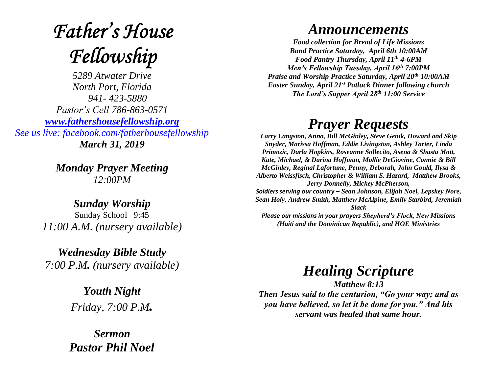## **Father's House** Fellowship

*5289 Atwater Drive North Port, Florida 941- 423-5880 Pastor's Cell 786-863-0571 [www.fathershousefellowship.org](http://www.fathershousefellowship.org/) See us live: facebook.com/fatherhousefellowship March 31, 2019*

> *Monday Prayer Meeting 12:00PM*

*Sunday Worship* Sunday School 9:45 *11:00 A.M. (nursery available)*

*Wednesday Bible Study 7:00 P.M. (nursery available)*

> *Youth Night Friday, 7:00 P.M.*

*Sermon Pastor Phil Noel*

## *Announcements*

*Food collection for Bread of Life Missions Band Practice Saturday, April 6th 10:00AM Food Pantry Thursday, April 11th 4-6PM Men's Fellowship Tuesday, April 16th 7:00PM Praise and Worship Practice Saturday, April 20th 10:00AM Easter Sunday, April 21st Potluck Dinner following church The Lord's Supper April 28th 11:00 Service*

## *Prayer Requests*

*Larry Langston, Anna, Bill McGinley, Steve Genik, Howard and Skip Snyder, Marissa Hoffman, Eddie Livingston, Ashley Tarter, Linda Primozic, Darla Hopkins, Roseanne Sollecito, Asena & Shasta Mott, Kate, Michael, & Darina Hoffman, Mollie DeGiovine, Connie & Bill McGinley, Reginal Lafortune, Penny, Deborah, John Gould, Ilysa & Alberto Weissfisch, Christopher & William S. Hazard, Matthew Brooks, Jerry Donnelly, Mickey McPherson, Soldiers serving our country – Sean Johnson, Elijah Noel, Lepskey Nore, Sean Holy, Andrew Smith, Matthew McAlpine, Emily Starbird, Jeremiah Slack Please our missions in your prayers Shepherd's Flock, New Missions (Haiti and the Dominican Republic), and HOE Ministries*

*Healing Scripture*

*Matthew 8:13 Then Jesus said to the centurion, "Go your way; and as you have believed, so let it be done for you." And his servant was healed that same hour.*